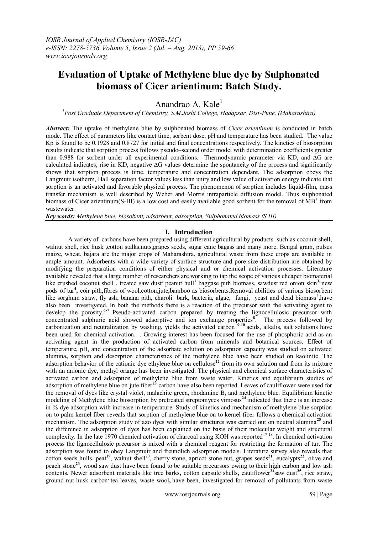# **Evaluation of Uptake of Methylene blue dye by Sulphonated biomass of Cicer arientinum: Batch Study.**

Anandrao A. Kale $<sup>1</sup>$ </sup>

*<sup>1</sup>Post Graduate Department of Chemistry, S.M.Joshi College, Hadapsar. Dist-Pune, (Maharashtra)*

*Abstract:* The uptake of methylene blue by sulphonated biomass of *Cicer arientinum* is conducted in batch mode. The effect of parameters like contact time, sorbent dose, pH and temperature has been studied. The value Kp is found to be 0.1928 and 0.8727 for initial and final concentrations respectively. The kinetics of biosorption results indicate that sorption process follows pseudo–second order model with determination coefficients greater than 0.988 for sorbent under all experimental conditions. Thermodynamic parameter via KD, and ∆G are calculated indicates, rise in KD, negative ∆G values determine the spontaneity of the process and significantly shows that sorption process is time, temperature and concentration dependant. The adsorption obeys the Langmuir isotherm, Hall separation factor values less than unity and low value of activation energy indicate that sorption is an activated and favorable physical process. The phenomenon of sorption includes liquid-film, mass transfer mechanism is well described by Weber and Morris intraparticle diffusion model. Thus sulphonated biomass of Cicer arientinum(S-III) is a low cost and easily available good sorbent for the removal of  $\overline{MB}^+$  from wastewater.

*Key words: Methylene blue, biosobent, adsorbent, adsorption, Sulphonated biomass (S III)*

#### **I. Introduction**

 A variety of carbons have been prepared using different agricultural by products such as coconut shell, walnut shell, rice husk ,cotton stalks,nuts,grapes seeds, sugar cane bagass and many more. Bengal gram, pulses maize, wheat, bajara are the major crops of Maharashtra, agricultural waste from these crops are available in ample amount. Adsorbents with a wide variety of surface structure and pore size distribution are obtained by modifying the preparation conditions of either physical and or chemical activation processes. Literature available revealed that a large number of researchers are working to tap the scope of various cheaper biomaterial like crushed coconut shell, treated saw dust' peanut hull<sup>1</sup> baggase pith biomass, sawdust red onion skin<sup>3,</sup> new pods of tur**<sup>4</sup>** , coir pith,fibres of wool,cotton,jute,bamboo as biosorbents.Removal abilities of various biosorbent like sorghum straw, fly ash, banana pith, charoli bark, bacteria, algae, fungi, yeast and dead biomass<sup>5</sup>,have also been investigated. In both the methods there is a reaction of the precursor with the activating agent to develop the porosity.**6-7** Pseudo-activated carbon prepared by treating the lignocellulosic precursor with concentrated sulphuric acid showed adsorptive and ion exchange properties**<sup>8</sup>** . The process followed by carbonization and neutralization by washing, yields the activated carbon **9-10** acids, alkalis, salt solutions have been used for chemical activation. . Growing interest has been focused for the use of phosphoric acid as an activating agent in the production of activated carbon from minerals and botanical sources. Effect of temperature, pH, and concentration of the adsorbate solution on adsorption capacity was studied on activated alumina**,** sorption and desorption characteristics of the methylene blue have been studied on kaolinite**.** The adsorption behavior of the cationic dye ethylene blue on cellulose<sup>22</sup> from its own solution and from its mixture with an anionic dye, methyl orange has been investigated. The physical and chemical surface characteristics of activated carbon and adsorption of methylene blue from waste water. Kinetics and equilibrium studies of adsorption of methylene blue on jute fiber**<sup>23</sup>** carbon have also been reported. Leaves of cauliflower were used for the removal of dyes like crystal violet, malachite green, rhodamine B, and methylene blue. Equilibrium kinetic modeling of Methylene blue biosorption by pretreated streptomyces vimosus**<sup>24</sup>**indicated that there is an increase in % dye adsorption with increase in temperature. Study of kinetics and mechanism of methylene blue sorption on to palm kernel fiber reveals that sorption of methylene blue on to kernel fiber follows a chemical activation mechanism. The adsorption study of azo dyes with similar structures was carried out on neutral alumina**<sup>25</sup>** and the difference in adsorption of dyes has been explained on the basis of their molecular weight and structural complexity. In the late 1970 chemical activation of charcoal using KOH was reported<sup>17-18</sup>. In chemical activation process the lignocellulosic precursor is mixed with a chemical reagent for restricting the formation of tar. The adsorption was found to obey Langmuir and freundlich adsorption models. Literature survey also reveals that cotton seeds hulls, peat<sup>19</sup>, walnut shell<sup>20</sup>, cherry stone, apricot stone nut, grapes seeds<sup>21</sup>, eucalypts<sup>22</sup>, olive and peach stone**<sup>23</sup>**, wood saw dust have been found to be suitable precursors owing to their high carbon and low ash contents. Newer adsorbent materials like tree barks, cotton capsule shells, cauliflower<sup>24</sup>saw dust<sup>25</sup>, rice straw, ground nut husk carbon' tea leaves, waste wool, have been, investigated for removal of pollutants from waste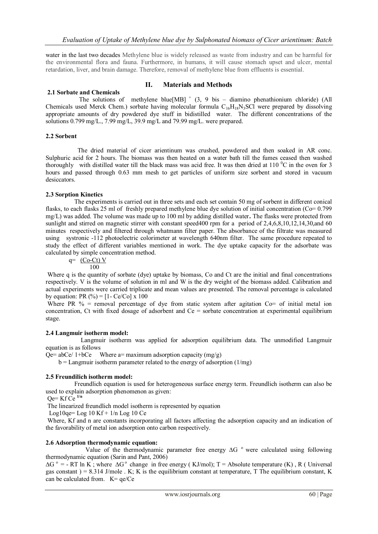water in the last two decades Methylene blue is widely released as waste from industry and can be harmful for the environmental flora and fauna. Furthermore, in humans, it will cause stomach upset and ulcer, mental retardation, liver, and brain damage. Therefore, removal of methylene blue from effluents is essential.

#### **2.1 Sorbate and Chemicals**

#### **II. Materials and Methods**

The solutions of methylene blue [MB]  $^+$  (3, 9 bis – diamino phenathionium chloride) (All Chemicals used Merck Chem.) sorbate having molecular formula  $C_{16}H_{18}N_3SCl$  were prepared by dissolving appropriate amounts of dry powdered dye stuff in bidistilled water. The different concentrations of the solutions 0.799 mg/L., 7.99 mg/L, 39.9 mg/L and 79.99 mg/L. were prepared.

#### **2.2 Sorbent**

 The dried material of cicer arientinum was crushed, powdered and then soaked in AR conc. Sulphuric acid for 2 hours. The biomass was then heated on a water bath till the fumes ceased then washed thoroughly with distilled water till the black mass was acid free. It was then dried at  $110<sup>o</sup>C$  in the oven for 3 hours and passed through 0.63 mm mesh to get particles of uniform size sorbent and stored in vacuum desiccators.

#### **2.3 Sorption Kinetics**

 The experiments is carried out in three sets and each set contain 50 mg of sorbent in different conical flasks, to each flasks 25 ml of freshly prepared methylene blue dye solution of initial concentration ( $Co = 0.799$ ) mg/L) was added. The volume was made up to 100 ml by adding distilled water**.** The flasks were protected from sunlight and stirred on magnetic stirrer with constant speed400 rpm for a period of 2,4,6,8,10,12,14,30,and 60 minutes respectively and filtered through whatmann filter paper. The absorbance of the filtrate was measured using systronic -112 photoelectric colorimeter at wavelength 640nm filter. The same procedure repeated to study the effect of different variables mentioned in work. The dye uptake capacity for the adsorbate was calculated by simple concentration method.

#### $q=$  (Co-Ct) V 100

Where q is the quantity of sorbate (dye) uptake by biomass, Co and Ct are the initial and final concentrations respectively. V is the volume of solution in ml and W is the dry weight of the biomass added. Calibration and actual experiments were carried triplicate and mean values are presented. The removal percentage is calculated by equation: PR  $(\%)= [1 - Ce/C_0] \times 100$ 

Where PR  $\%$  = removal percentage of dye from static system after agitation Co= of initial metal ion concentration, Ct with fixed dosage of adsorbent and Ce = sorbate concentration at experimental equilibrium stage.

## **2.4 Langmuir isotherm model:**

 Langmuir isotherm was applied for adsorption equilibrium data. The unmodified Langmuir equation is as follows

 $Qe= abce/ 1+bCe$  Where a= maximum adsorption capacity (mg/g)

 $b =$  Langmuir isotherm parameter related to the energy of adsorption (1/mg)

#### **2.5 Freundilich isotherm model:**

Freundlich equation is used for heterogeneous surface energy term. Freundlich isotherm can also be used to explain adsorption phenomenon as given:

Qe= Kf Ce **1/n**

The linearized freundlich model isotherm is represented by equation

Log10qe= Log  $10$  Kf +  $1/n$  Log  $10$  Ce

Where, Kf and n are constants incorporating all factors affecting the adsorption capacity and an indication of the favorability of metal ion adsorption onto carbon respectively.

## **2.6 Adsorption thermodynamic equation:**

Value of the thermodynamic parameter free energy ∆G <sup>o</sup> were calculated using following thermodynamic equation (Sarin and Pant, 2006)

 $\Delta G^{\circ}$  = - RT ln K; where  $\Delta G^{\circ}$  change in free energy (KJ/mol); T = Absolute temperature (K), R (Universal gas constant  $= 8.314$  J/mole . K; K is the equilibrium constant at temperature, T The equilibrium constant, K can be calculated from.  $K = \frac{qe}{Ce}$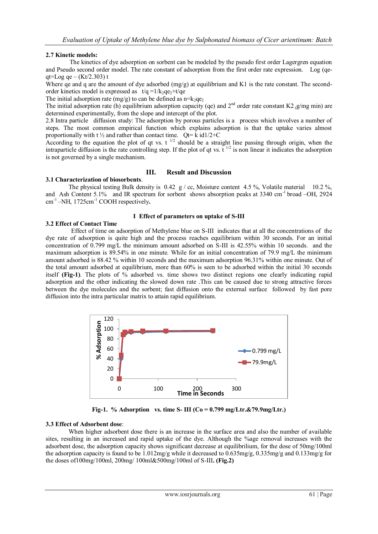# **2.7 Kinetic models:**

 The kinetics of dye adsorption on sorbent can be modeled by the pseudo first order Lagergren equation and Pseudo second order model. The rate constant of adsorption from the first order rate expression. Log (qeqt=Log qe –  $(Kt/2.303)$  t

Where qe and q are the amount of dye adsorbed  $(mg/g)$  at equilibrium and K1 is the rate constant. The secondorder kinetics model is expressed as  $t/q = 1/k_2qe_2+t/qe$ 

The initial adsorption rate (mg/g) to can be defined as  $n=k_2qe_2$ 

The initial adsorption rate (h) equilibrium adsorption capacity (qe) and  $2^{nd}$  order rate constant K2  $\alpha$ /mg min) are determined experimentally, from the slope and intercept of the plot.

2.8 Intra particle diffusion study: The adsorption by porous particles is a process which involves a number of steps. The most common empirical function which explains adsorption is that the uptake varies almost proportionally with t  $\frac{1}{2}$  and rather than contact time. Ot= k id1/2+C

According to the equation the plot of qt vs. t<sup>1/2</sup> should be a straight line passing through origin, when the intraparticle diffusion is the rate controlling step. If the plot of qt vs.  $t^{1/2}$  is non linear it indicates the adsorption is not governed by a single mechanism.

# **III. Result and Discussion**

# **3.1 Characterization of biosorbents**.

The physical testing Bulk density is  $0.42 \frac{g}{c}$ , Moisture content 4.5 %, Volatile material 10.2 %, and Ash Content 5.1% and IR spectrum for sorbent shows absorption peaks at 3340 cm<sup>-1</sup> broad –OH, 2924 cm-1 –NH, 1725cm-1 COOH respectively**.**

#### **I Effect of parameters on uptake of S-III**

## **3.2 Effect of Contact Time**

Effect of time on adsorption of Methylene blue on S-III indicates that at all the concentrations of the dye rate of adsorption is quite high and the process reaches equilibrium within 30 seconds. For an initial concentration of 0.799 mg/L the minimum amount adsorbed on S-III is 42.55% within 10 seconds. and the maximum adsorption is 89.54% in one minute. While for an initial concentration of 79.9 mg/L the minimum amount adsorbed is 88.42 % within 10 seconds and the maximum adsorption 96.31% within one minute. Out of the total amount adsorbed at equilibrium, more than 60% is seen to be adsorbed within the initial 30 seconds itself **(Fig-1)**. The plots of % adsorbed vs. time shows two distinct regions one clearly indicating rapid adsorption and the other indicating the slowed down rate .This can be caused due to strong attractive forces between the dye molecules and the sorbent; fast diffusion onto the external surface followed by fast pore diffusion into the intra particular matrix to attain rapid equilibrium.



**Fig-1. % Adsorption vs. time S- III (Co = 0.799 mg/Ltr.&79.9mg/Ltr.)**

## **3.3 Effect of Adsorbent dose**:

When higher adsorbent dose there is an increase in the surface area and also the number of available sites, resulting in an increased and rapid uptake of the dye. Although the %age removal increases with the adsorbent dose, the adsorption capacity shows significant decrease at equilibrilium, for the dose of 50mg/100ml the adsorption capacity is found to be 1.012mg/g while it decreased to 0.635mg/g, 0.335mg/g and 0.133mg/g for the doses of100mg/100ml, 200mg/ 100ml&500mg/100ml of S-III**. (Fig.2)**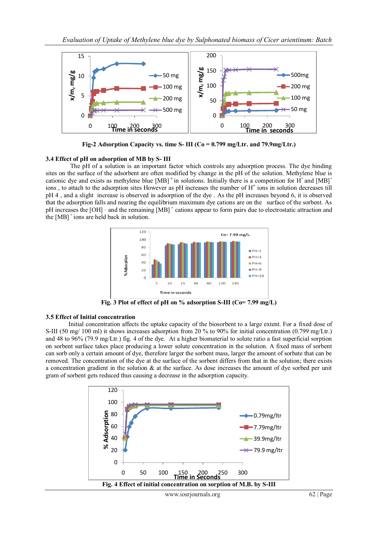

**Fig-2 Adsorption Capacity vs. time S- III (Co = 0.799 mg/Ltr. and 79.9mg/Ltr.)**

## **3.4 Effect of pH on adsorption of MB by S- III**

The pH of a solution is an important factor which controls any adsorption process. The dye binding sites on the surface of the adsorbent are often modified by change in the pH of the solution. Methylene blue is cationic dye and exists as methylene blue [MB]<sup>+</sup> in solutions. Initially there is a competition for H<sup>+</sup> and [MB]<sup>+</sup> ions, to attach to the adsorption sites However as pH increases the number of H<sup>+</sup> ions in solution decreases till pH 4 , and a slight increase is observed in adsorption of the dye . As the pH increases beyond 6, it is observed that the adsorption falls and nearing the equilibrium maximum dye cations are on the surface of the sorbent. As pH increases the [OH] - and the remaining [MB]<sup>+</sup> cations appear to form pairs due to electrostatic attraction and the  $[MB]$ <sup>+</sup>ions are held back in solution.



**Fig. 3 Plot of effect of pH on % adsorption S-III (Co= 7.99 mg/L)**

#### **3.5 Effect of Initial concentration**

Initial concentration affects the uptake capacity of the biosorbent to a large extent. For a fixed dose of S-III (50 mg/ 100 ml) it shows increases adsorption from 20 % to 90% for initial concentration (0.799 mg/Ltr.) and 48 to 96% (79.9 mg/Ltr.) fig. 4 of the dye. At a higher biomaterial to solute ratio a fast superficial sorption on sorbent surface takes place producing a lower solute concentration in the solution. A fixed mass of sorbent can sorb only a certain amount of dye, therefore larger the sorbent mass, larger the amount of sorbate that can be removed. The concentration of the dye at the surface of the sorbent differs from that in the solution; there exists a concentration gradient in the solution  $\&$  at the surface. As dose increases the amount of dye sorbed per unit gram of sorbent gets reduced thus causing a decrease in the adsorption capacity.

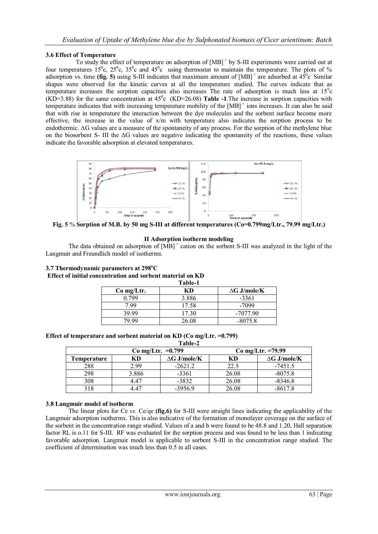## **3.6 Effect of Temperature**

To study the effect of temperature on adsorption of  $[MB]^+$  by S-III experiments were carried out at four temperatures  $15^{\circ}$ c,  $25^{\circ}$ c,  $35^{\circ}$ c and  $45^{\circ}$ c using thermostat to maintain the temperature. The plots of % adsorption vs. time (fig. 5) using S-III indicates that maximum amount of  $[MB]$ <sup>+</sup> are adsorbed at  $45^{\circ}$ c Similar shapes were observed for the kinetic curves at all the temperature studied. The curves indicate that as temperature increases the sorption capacities also increases The rate of adsorption is much less at  $15<sup>o</sup>c$  $(KD=3.88)$  for the same concentration at  $45^{\circ}$ c (KD=26.08) **Table -1**. The increase in sorption capacities with temperature indicates that with increasing temperature mobility of the  $[MB]$ <sup>+</sup> ions increases. It can also be said that with rise in temperature the interaction between the dye molecules and the sorbent surface become more effective, the increase in the value of x/m with temperature also indicates the sorption process to be endothermic. **∆**G values are a measure of the spontaneity of any process. For the sorption of the methylene blue on the biosorbent S- III the **∆**G values are negative indicating the spontaneity of the reactions, these values indicate the favorable adsorption at elevated temperatures.



**Fig. 5** % **Sorption of M.B. by 50 mg S-III at different temperatures (Co=0.799mg/Ltr., 79.99 mg/Ltr.)**

## **II Adsorption isotherm modeling**

The data obtained on adsorption of  $[MB]$ <sup>+</sup> cation on the sorbent S-III was analyzed in the light of the Langmuir and Freundlich model of isotherms.

| 3.7 Thermodynamic parameters at $298^{\circ}$ C            |  |
|------------------------------------------------------------|--|
| Effect of initial concentration and sorbent material on KD |  |
| Table <sub>-1</sub>                                        |  |

| Table-1      |       |                     |  |
|--------------|-------|---------------------|--|
| $Co$ mg/Ltr. | КĐ    | $\Delta G$ J/mole/K |  |
| 0 799        | 3.886 | $-3361$             |  |
| 7 99         | 17.58 | $-7099$             |  |
| 39.99        | 17 30 | $-7077.90$          |  |
| 79 99        | 26.08 | $-8075.8$           |  |

#### **Effect of temperature and sorbent material on KD (Co mg/Ltr. =0.799) Table-2**

| 1 апіс-4             |       |                     |                     |                     |
|----------------------|-------|---------------------|---------------------|---------------------|
| $Co$ mg/Ltr. = 0.799 |       |                     | Co mg/Ltr. $=79.99$ |                     |
| <b>Temperature</b>   | КD    | $\Delta G$ J/mole/K | KD                  | $\Delta G$ J/mole/K |
| 288                  | 2.99  | $-2621.2$           | 22.5                | $-7451.5$           |
| 298                  | 3.886 | $-3361$             | 26.08               | $-8075.8$           |
| 308                  | 447   | $-3832$             | 26.08               | $-8346.8$           |
| 318                  | -17   | $-3956.9$           | 26.08               | $-8617.8$           |

## **3.8 Langmuir model of isotherm**

The linear plots for Ce *vs.* Ce/qe **(fig.6)** for S-III were straight lines indicating the applicability of the Langmuir adsorption isotherms. This is also indicative of the formation of monolayer coverage on the surface of the sorbent in the concentration range studied. Values of a and b were found to be 48.8 and 1.20, Hall separation factor RL is o.11 for S-III. RF was evaluated for the sorption process and was found to be less than 1 indicating favorable adsorption. Langmuir model is applicable to sorbent S-III in the concentration range studied. The coefficient of determination was much less than 0.5 in all cases.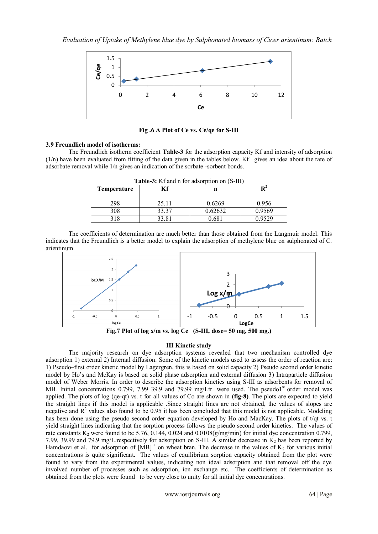

**Fig .6 A Plot of Ce vs. Ce/qe for S-III**

# **3.9 Freundlich model of isotherms:**

The Freundlich isotherm coefficient **Table-3** for the adsorption capacity Kf and intensity of adsorption (1/n) have been evaluated from fitting of the data given in the tables below. Kf gives an idea about the rate of adsorbate removal while 1/n gives an indication of the sorbate -sorbent bonds.

| Temperature | Кf     | n       |        |
|-------------|--------|---------|--------|
| 298         | 25.11  | 0.6269  | 0.956  |
| 308         | 33.37  | 0.62632 | 0.9569 |
| 318         | 33 R 1 | 0.681   | በ 9529 |

**Table-3:** Kf and n for adsorption on (S-III)

The coefficients of determination are much better than those obtained from the Langmuir model. This indicates that the Freundlich is a better model to explain the adsorption of methylene blue on sulphonated of C. arientinum.



**Fig.7 Plot of log x/m vs. log Ce (S-III, dose= 50 mg, 500 mg.)**

# **III Kinetic study**

The majority research on dye adsorption systems revealed that two mechanism controlled dye adsorption 1) external 2) Internal diffusion. Some of the kinetic models used to assess the order of reaction are: 1) Pseudo–first order kinetic model by Lagergren, this is based on solid capacity 2) Pseudo second order kinetic model by Ho's and McKay is based on solid phase adsorption and external diffusion 3) Intraparticle diffusion model of Weber Morris. In order to describe the adsorption kinetics using S-III as adsorbents for removal of MB. Initial concentrations 0.799, 7.99 39.9 and 79.99 mg/Ltr. were used. The pseudo1<sup>st</sup> order model was applied. The plots of log (qe-qt) vs. t for all values of Co are shown in **(fig-8)**. The plots are expected to yield the straight lines if this model is applicable .Since straight lines are not obtained, the values of slopes are negative and  $\mathbb{R}^2$  values also found to be 0.95 it has been concluded that this model is not applicable. Modeling has been done using the pseudo second order equation developed by Ho and MacKay. The plots of t/qt vs. t yield straight lines indicating that the sorption process follows the pseudo second order kinetics. The values of rate constants  $K_2$  were found to be 5.76, 0.144, 0.024 and 0.0108(g/mg/min) for initial dye concentration 0.799, 7.99, 39.99 and 79.9 mg/L.respectively for adsorption on S-III. A similar decrease in  $K_2$  has been reported by Hamdaovi et al. for adsorption of  $[MB]$ <sup>+</sup> on wheat bran. The decrease in the values of  $K_2$  for various initial concentrations is quite significant. The values of equilibrium sorption capacity obtained from the plot were found to vary from the experimental values, indicating non ideal adsorption and that removal off the dye involved number of processes such as adsorption, ion exchange etc. The coefficients of determination as obtained from the plots were found to be very close to unity for all initial dye concentrations.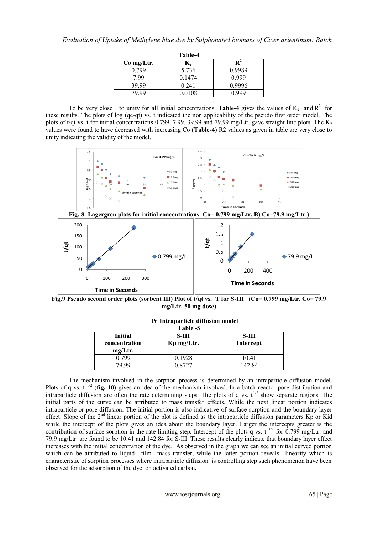| Table-4    |        |                |  |
|------------|--------|----------------|--|
| Co mg/Ltr. | К,     | $\mathbf{R}^4$ |  |
| 0.799      | 5.736  | 0.9989         |  |
| 7.99       | 0.1474 | 0.999          |  |
| 39.99      | 0.241  | 0.9996         |  |
| 79 99      | 0.0108 | N 999          |  |

To be very close to unity for all initial concentrations. Table-4 gives the values of  $K_2$  and  $R^2$  for these results. The plots of log (qe-qt) vs. t indicated the non applicability of the pseudo first order model. The plots of t/qt vs. t for initial concentrations 0.799, 7.99, 39.99 and 79.99 mg/Ltr. gave straight line plots. The K<sub>2</sub> values were found to have decreased with increasing Co (**Table-4**) R2 values as given in table are very close to unity indicating the validity of the model.



**Fig.9** Pseudo second order plots (sorbent III) Plot of t/qt vs. T for S-III (Co= 0.799 mg/Ltr. Co= 79.9 **mg/Ltr. 50 mg dose)**

| Table -5                 |            |                  |
|--------------------------|------------|------------------|
| <b>Initial</b>           | S-HI       | S-III            |
| concentration<br>mg/Ltr. | Kp mg/Ltr. | <b>Intercept</b> |
| 0 799                    | 0.1928     | 1041             |
| 70 QQ                    | 0.8727     | 142.84           |

## **IV Intraparticle diffusion model**

The mechanism involved in the sorption process is determined by an intraparticle diffusion model. Plots of q vs. t<sup>1/2</sup> (**fig. 10**) gives an idea of the mechanism involved. In a batch reactor pore distribution and intraparticle diffusion are often the rate determining steps. The plots of q vs.  $t^{1/2}$  show separate regions. The initial parts of the curve can be attributed to mass transfer effects. While the next linear portion indicates intraparticle or pore diffusion. The initial portion is also indicative of surface sorption and the boundary layer effect. Slope of the 2<sup>nd</sup> linear portion of the plot is defined as the intraparticle diffusion parameters Kp or Kid while the intercept of the plots gives an idea about the boundary layer. Larger the intercepts greater is the contribution of surface sorption in the rate limiting step. Intercept of the plots q vs. t<sup>1/2</sup> for 0.799 mg/Ltr. and 79.9 mg/Ltr. are found to be 10.41 and 142.84 for S-III. These results clearly indicate that boundary layer effect increases with the initial concentration of the dye. As observed in the graph we can see an initial curved portion which can be attributed to liquid –film mass transfer, while the latter portion reveals linearity which is characteristic of sorption processes where intraparticle diffusion is controlling step such phenomenon have been observed for the adsorption of the dye on activated carbon**.**